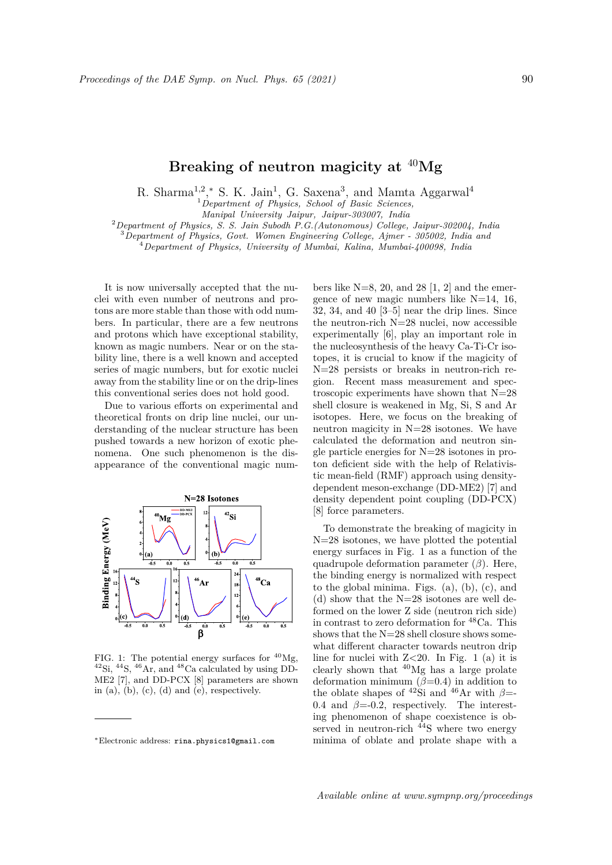## **Breaking of neutron magicity at** <sup>40</sup>**Mg**

R. Sharma<sup>1,2</sup>,<sup>\*</sup> S. K. Jain<sup>1</sup>, G. Saxena<sup>3</sup>, and Mamta Aggarwal<sup>4</sup>

<sup>1</sup>*Department of Physics, School of Basic Sciences,*

*Manipal University Jaipur, Jaipur-303007, India*

<sup>2</sup>*Department of Physics, S. S. Jain Subodh P.G.(Autonomous) College, Jaipur-302004, India*

<sup>3</sup>*Department of Physics, Govt. Women Engineering College, Ajmer - 305002, India and*

<sup>4</sup>*Department of Physics, University of Mumbai, Kalina, Mumbai-400098, India*

It is now universally accepted that the nuclei with even number of neutrons and protons are more stable than those with odd numbers. In particular, there are a few neutrons and protons which have exceptional stability, known as magic numbers. Near or on the stability line, there is a well known and accepted series of magic numbers, but for exotic nuclei away from the stability line or on the drip-lines this conventional series does not hold good.

Due to various efforts on experimental and theoretical fronts on drip line nuclei, our understanding of the nuclear structure has been pushed towards a new horizon of exotic phenomena. One such phenomenon is the disappearance of the conventional magic num-



FIG. 1: The potential energy surfaces for  $^{40}Mg$ ,  $^{42}$ Si,  $^{44}$ S,  $^{46}$ Ar, and  $^{48}$ Ca calculated by using DD-ME2 [7], and DD-PCX [8] parameters are shown in  $(a)$ ,  $(b)$ ,  $(c)$ ,  $(d)$  and  $(e)$ , respectively.

bers like  $N=8$ , 20, and 28 [1, 2] and the emergence of new magic numbers like  $N=14$ , 16, 32, 34, and 40 [3–5] near the drip lines. Since the neutron-rich N=28 nuclei, now accessible experimentally [6], play an important role in the nucleosynthesis of the heavy Ca-Ti-Cr isotopes, it is crucial to know if the magicity of N=28 persists or breaks in neutron-rich region. Recent mass measurement and spectroscopic experiments have shown that N=28 shell closure is weakened in Mg, Si, S and Ar isotopes. Here, we focus on the breaking of neutron magicity in N=28 isotones. We have calculated the deformation and neutron single particle energies for N=28 isotones in proton deficient side with the help of Relativistic mean-field (RMF) approach using densitydependent meson-exchange (DD-ME2) [7] and density dependent point coupling (DD-PCX) [8] force parameters.

To demonstrate the breaking of magicity in N=28 isotones, we have plotted the potential energy surfaces in Fig. 1 as a function of the quadrupole deformation parameter (*β*). Here, the binding energy is normalized with respect to the global minima. Figs. (a), (b), (c), and (d) show that the N=28 isotones are well deformed on the lower Z side (neutron rich side) in contrast to zero deformation for <sup>48</sup>Ca. This shows that the N=28 shell closure shows somewhat different character towards neutron drip line for nuclei with Z*<*20. In Fig. 1 (a) it is clearly shown that  $40$ Mg has a large prolate deformation minimum (*β*=0.4) in addition to the oblate shapes of <sup>42</sup>Si and <sup>46</sup>Ar with  $\beta$ =-0.4 and  $\beta$ =-0.2, respectively. The interesting phenomenon of shape coexistence is observed in neutron-rich  $44S$  where two energy minima of oblate and prolate shape with a

*<sup>∗</sup>*Electronic address: rina.physics1@gmail.com